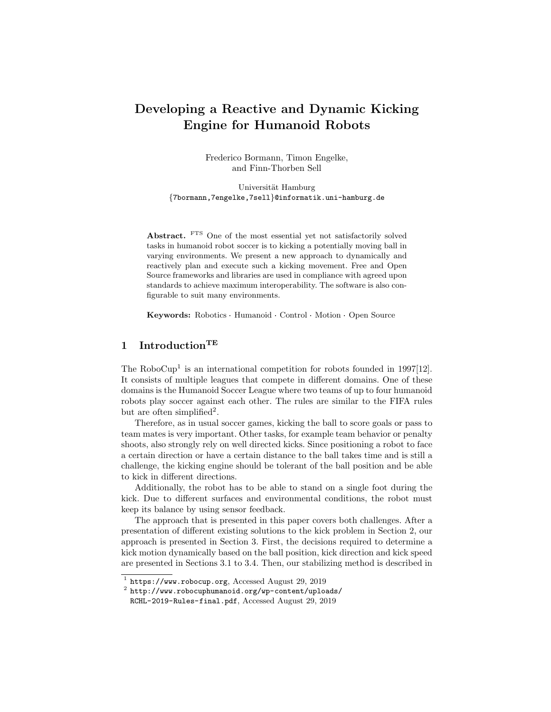# Developing a Reactive and Dynamic Kicking Engine for Humanoid Robots

Frederico Bormann, Timon Engelke, and Finn-Thorben Sell

Universität Hamburg {7bormann,7engelke,7sell}@informatik.uni-hamburg.de

Abstract. FTS One of the most essential yet not satisfactorily solved tasks in humanoid robot soccer is to kicking a potentially moving ball in varying environments. We present a new approach to dynamically and reactively plan and execute such a kicking movement. Free and Open Source frameworks and libraries are used in compliance with agreed upon standards to achieve maximum interoperability. The software is also configurable to suit many environments.

Keywords: Robotics Humanoid Control Motion Open Source

## 1 Introduction<sup>TE</sup>

The RoboCup<sup>[1](#page-0-0)</sup> is an international competition for robots founded in  $1997[12]$  $1997[12]$ . It consists of multiple leagues that compete in different domains. One of these domains is the Humanoid Soccer League where two teams of up to four humanoid robots play soccer against each other. The rules are similar to the FIFA rules but are often simplified<sup>[2](#page-0-1)</sup>.

Therefore, as in usual soccer games, kicking the ball to score goals or pass to team mates is very important. Other tasks, for example team behavior or penalty shoots, also strongly rely on well directed kicks. Since positioning a robot to face a certain direction or have a certain distance to the ball takes time and is still a challenge, the kicking engine should be tolerant of the ball position and be able to kick in different directions.

Additionally, the robot has to be able to stand on a single foot during the kick. Due to different surfaces and environmental conditions, the robot must keep its balance by using sensor feedback.

The approach that is presented in this paper covers both challenges. After a presentation of different existing solutions to the kick problem in Section [2,](#page-1-0) our approach is presented in Section [3.](#page-2-0) First, the decisions required to determine a kick motion dynamically based on the ball position, kick direction and kick speed are presented in Sections [3.1](#page-2-1) to [3.4.](#page-5-0) Then, our stabilizing method is described in

<span id="page-0-0"></span><sup>1</sup> <https://www.robocup.org>, Accessed August 29, 2019

<span id="page-0-1"></span> $^2$  [http://www.robocuphumanoid.org/wp-content/uploads/](http://www.robocuphumanoid.org/wp-content/uploads/RCHL-2019-Rules-final.pdf)

[RCHL-2019-Rules-final.pdf](http://www.robocuphumanoid.org/wp-content/uploads/RCHL-2019-Rules-final.pdf), Accessed August 29, 2019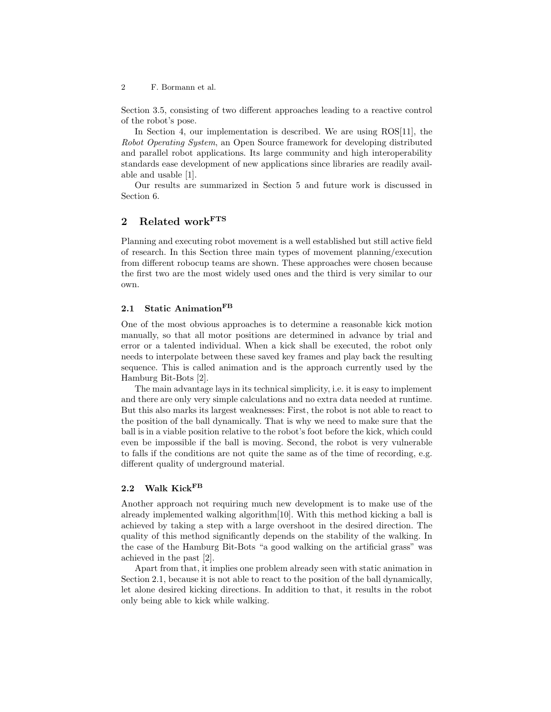Section [3.5,](#page-5-1) consisting of two different approaches leading to a reactive control of the robot's pose.

In Section [4,](#page-7-0) our implementation is described. We are using ROS[\[11\]](#page-11-1), the Robot Operating System, an Open Source framework for developing distributed and parallel robot applications. Its large community and high interoperability standards ease development of new applications since libraries are readily available and usable [\[1\]](#page-11-2).

Our results are summarized in Section [5](#page-10-0) and future work is discussed in Section [6.](#page-10-1)

## <span id="page-1-0"></span>2 Related workFTS

Planning and executing robot movement is a well established but still active field of research. In this Section three main types of movement planning/execution from different robocup teams are shown. These approaches were chosen because the first two are the most widely used ones and the third is very similar to our own.

#### <span id="page-1-1"></span>2.1 Static Animation<sup>FB</sup>

One of the most obvious approaches is to determine a reasonable kick motion manually, so that all motor positions are determined in advance by trial and error or a talented individual. When a kick shall be executed, the robot only needs to interpolate between these saved key frames and play back the resulting sequence. This is called animation and is the approach currently used by the Hamburg Bit-Bots [\[2\]](#page-11-3).

The main advantage lays in its technical simplicity, i.e. it is easy to implement and there are only very simple calculations and no extra data needed at runtime. But this also marks its largest weaknesses: First, the robot is not able to react to the position of the ball dynamically. That is why we need to make sure that the ball is in a viable position relative to the robot's foot before the kick, which could even be impossible if the ball is moving. Second, the robot is very vulnerable to falls if the conditions are not quite the same as of the time of recording, e.g. different quality of underground material.

## 2.2 Walk Kick<sup>FB</sup>

Another approach not requiring much new development is to make use of the already implemented walking algorithm[\[10\]](#page-11-4). With this method kicking a ball is achieved by taking a step with a large overshoot in the desired direction. The quality of this method significantly depends on the stability of the walking. In the case of the Hamburg Bit-Bots "a good walking on the artificial grass" was achieved in the past [\[2\]](#page-11-3).

Apart from that, it implies one problem already seen with static animation in Section [2.1,](#page-1-1) because it is not able to react to the position of the ball dynamically, let alone desired kicking directions. In addition to that, it results in the robot only being able to kick while walking.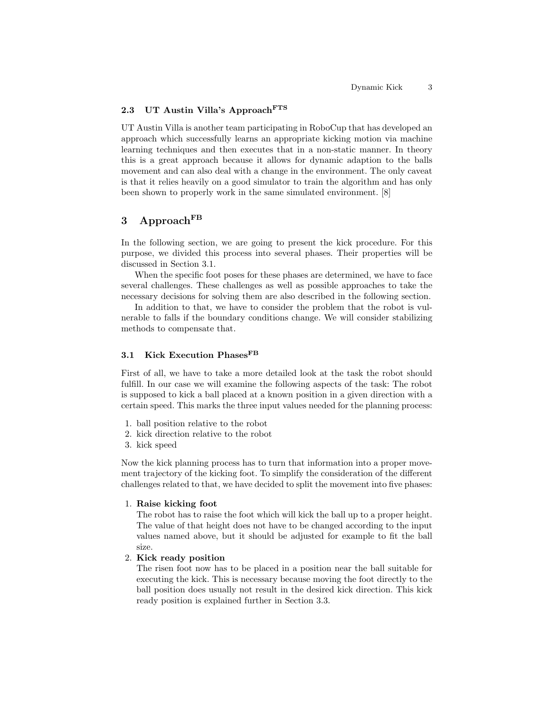### 2.3 UT Austin Villa's Approach<sup>FTS</sup>

UT Austin Villa is another team participating in RoboCup that has developed an approach which successfully learns an appropriate kicking motion via machine learning techniques and then executes that in a non-static manner. In theory this is a great approach because it allows for dynamic adaption to the balls movement and can also deal with a change in the environment. The only caveat is that it relies heavily on a good simulator to train the algorithm and has only been shown to properly work in the same simulated environment. [\[8\]](#page-11-5)

## <span id="page-2-0"></span>3 Approach $F<sup>B</sup>$

In the following section, we are going to present the kick procedure. For this purpose, we divided this process into several phases. Their properties will be discussed in Section [3.1.](#page-2-1)

When the specific foot poses for these phases are determined, we have to face several challenges. These challenges as well as possible approaches to take the necessary decisions for solving them are also described in the following section.

In addition to that, we have to consider the problem that the robot is vulnerable to falls if the boundary conditions change. We will consider stabilizing methods to compensate that.

## <span id="page-2-1"></span>3.1 Kick Execution Phases<sup>FB</sup>

First of all, we have to take a more detailed look at the task the robot should fulfill. In our case we will examine the following aspects of the task: The robot is supposed to kick a ball placed at a known position in a given direction with a certain speed. This marks the three input values needed for the planning process:

- 1. ball position relative to the robot
- 2. kick direction relative to the robot
- 3. kick speed

Now the kick planning process has to turn that information into a proper movement trajectory of the kicking foot. To simplify the consideration of the different challenges related to that, we have decided to split the movement into five phases:

#### 1. Raise kicking foot

The robot has to raise the foot which will kick the ball up to a proper height. The value of that height does not have to be changed according to the input values named above, but it should be adjusted for example to fit the ball size.

#### 2. Kick ready position

The risen foot now has to be placed in a position near the ball suitable for executing the kick. This is necessary because moving the foot directly to the ball position does usually not result in the desired kick direction. This kick ready position is explained further in Section [3.3.](#page-4-0)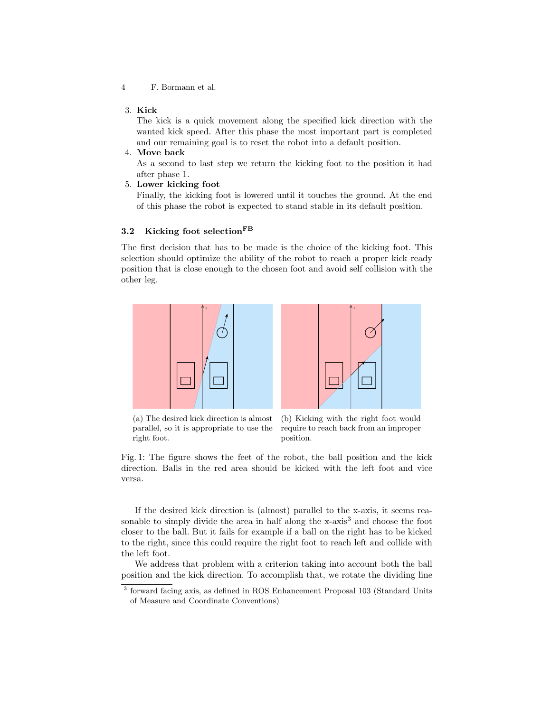#### 3. Kick

The kick is a quick movement along the specified kick direction with the wanted kick speed. After this phase the most important part is completed and our remaining goal is to reset the robot into a default position.

4. Move back

As a second to last step we return the kicking foot to the position it had after phase 1.

5. Lower kicking foot

Finally, the kicking foot is lowered until it touches the ground. At the end of this phase the robot is expected to stand stable in its default position.

### 3.2 Kicking foot selection<sup>FB</sup>

The first decision that has to be made is the choice of the kicking foot. This selection should optimize the ability of the robot to reach a proper kick ready position that is close enough to the chosen foot and avoid self collision with the other leg.

<span id="page-3-1"></span>



(a) The desired kick direction is almost parallel, so it is appropriate to use the right foot.

(b) Kicking with the right foot would require to reach back from an improper position.

Fig. 1: The figure shows the feet of the robot, the ball position and the kick direction. Balls in the red area should be kicked with the left foot and vice versa.

If the desired kick direction is (almost) parallel to the x-axis, it seems reasonable to simply divide the area in half along the  $x$ -axis<sup>[3](#page-3-0)</sup> and choose the foot closer to the ball. But it fails for example if a ball on the right has to be kicked to the right, since this could require the right foot to reach left and collide with the left foot.

We address that problem with a criterion taking into account both the ball position and the kick direction. To accomplish that, we rotate the dividing line

<span id="page-3-0"></span><sup>&</sup>lt;sup>3</sup> forward facing axis, as defined in ROS Enhancement Proposal 103 (Standard Units of Measure and Coordinate Conventions)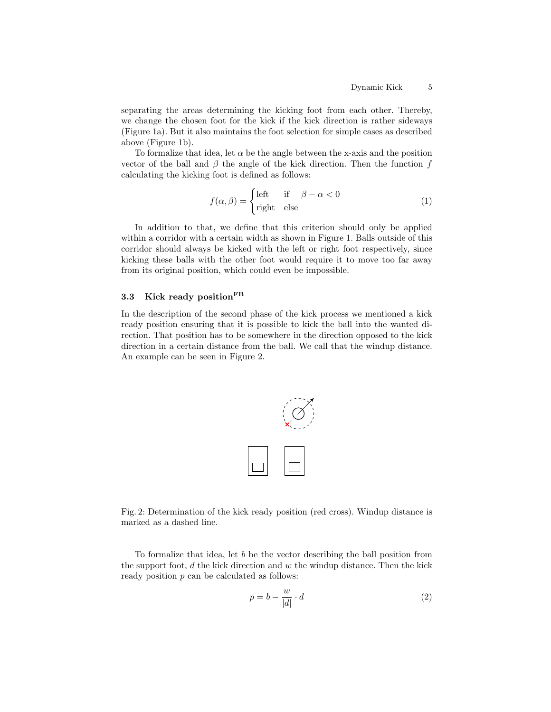separating the areas determining the kicking foot from each other. Thereby, we change the chosen foot for the kick if the kick direction is rather sideways (Figure [1a\)](#page-3-1). But it also maintains the foot selection for simple cases as described above (Figure [1b\)](#page-3-1).

To formalize that idea, let  $\alpha$  be the angle between the x-axis and the position vector of the ball and  $\beta$  the angle of the kick direction. Then the function f calculating the kicking foot is defined as follows:

$$
f(\alpha, \beta) = \begin{cases} \text{left} & \text{if } \beta - \alpha < 0 \\ \text{right} & \text{else} \end{cases} \tag{1}
$$

In addition to that, we define that this criterion should only be applied within a corridor with a certain width as shown in Figure [1.](#page-3-1) Balls outside of this corridor should always be kicked with the left or right foot respectively, since kicking these balls with the other foot would require it to move too far away from its original position, which could even be impossible.

### <span id="page-4-0"></span>3.3 Kick ready position<sup>FB</sup>

<span id="page-4-1"></span>In the description of the second phase of the kick process we mentioned a kick ready position ensuring that it is possible to kick the ball into the wanted direction. That position has to be somewhere in the direction opposed to the kick direction in a certain distance from the ball. We call that the windup distance. An example can be seen in Figure [2.](#page-4-1)



Fig. 2: Determination of the kick ready position (red cross). Windup distance is marked as a dashed line.

To formalize that idea, let b be the vector describing the ball position from the support foot,  $d$  the kick direction and  $w$  the windup distance. Then the kick ready position p can be calculated as follows:

$$
p = b - \frac{w}{|d|} \cdot d \tag{2}
$$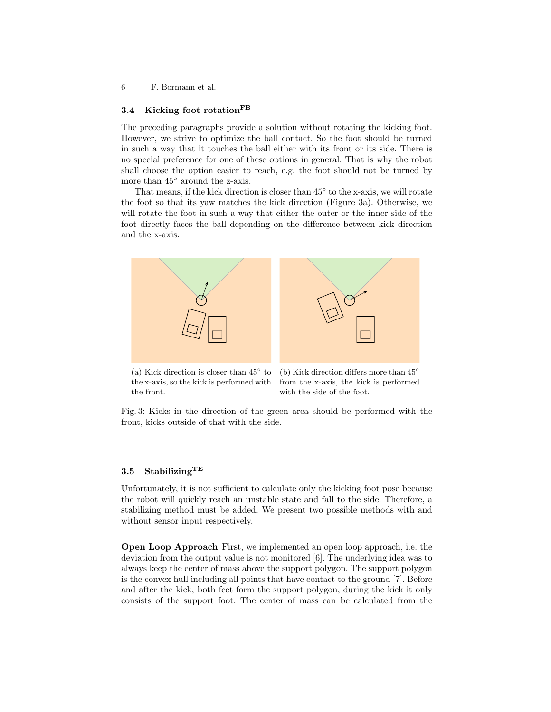### <span id="page-5-0"></span>3.4 Kicking foot rotation<sup>FB</sup>

The preceding paragraphs provide a solution without rotating the kicking foot. However, we strive to optimize the ball contact. So the foot should be turned in such a way that it touches the ball either with its front or its side. There is no special preference for one of these options in general. That is why the robot shall choose the option easier to reach, e.g. the foot should not be turned by more than 45◦ around the z-axis.

That means, if the kick direction is closer than  $45^{\circ}$  to the x-axis, we will rotate the foot so that its yaw matches the kick direction (Figure [3a\)](#page-5-2). Otherwise, we will rotate the foot in such a way that either the outer or the inner side of the foot directly faces the ball depending on the difference between kick direction and the x-axis.

<span id="page-5-2"></span>

(a) Kick direction is closer than  $45^\circ$  to the x-axis, so the kick is performed with the front.

(b) Kick direction differs more than 45◦ from the x-axis, the kick is performed with the side of the foot.

Fig. 3: Kicks in the direction of the green area should be performed with the front, kicks outside of that with the side.

#### <span id="page-5-1"></span>3.5 Stabilizing  $^{TE}$

Unfortunately, it is not sufficient to calculate only the kicking foot pose because the robot will quickly reach an unstable state and fall to the side. Therefore, a stabilizing method must be added. We present two possible methods with and without sensor input respectively.

Open Loop Approach First, we implemented an open loop approach, i.e. the deviation from the output value is not monitored [\[6\]](#page-11-6). The underlying idea was to always keep the center of mass above the support polygon. The support polygon is the convex hull including all points that have contact to the ground [\[7\]](#page-11-7). Before and after the kick, both feet form the support polygon, during the kick it only consists of the support foot. The center of mass can be calculated from the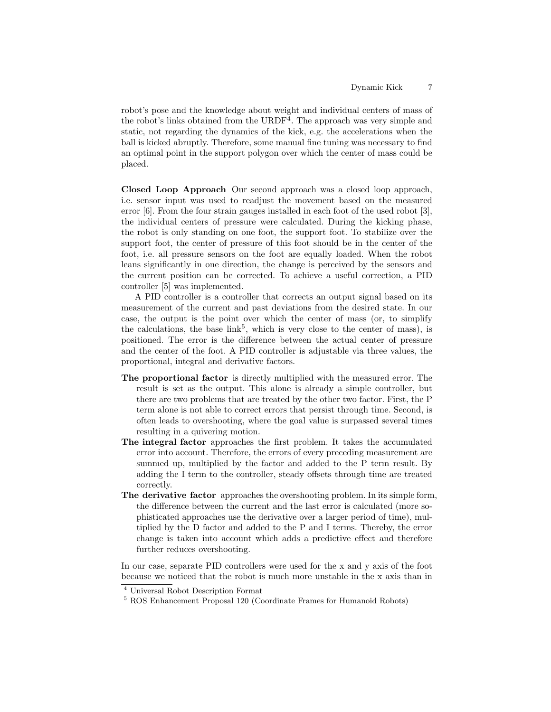robot's pose and the knowledge about weight and individual centers of mass of the robot's links obtained from the URDF<sup>[4](#page-6-0)</sup>. The approach was very simple and static, not regarding the dynamics of the kick, e.g. the accelerations when the ball is kicked abruptly. Therefore, some manual fine tuning was necessary to find an optimal point in the support polygon over which the center of mass could be placed.

<span id="page-6-2"></span>Closed Loop Approach Our second approach was a closed loop approach, i.e. sensor input was used to readjust the movement based on the measured error [\[6\]](#page-11-6). From the four strain gauges installed in each foot of the used robot [\[3\]](#page-11-8), the individual centers of pressure were calculated. During the kicking phase, the robot is only standing on one foot, the support foot. To stabilize over the support foot, the center of pressure of this foot should be in the center of the foot, i.e. all pressure sensors on the foot are equally loaded. When the robot leans significantly in one direction, the change is perceived by the sensors and the current position can be corrected. To achieve a useful correction, a PID controller [\[5\]](#page-11-9) was implemented.

A PID controller is a controller that corrects an output signal based on its measurement of the current and past deviations from the desired state. In our case, the output is the point over which the center of mass (or, to simplify the calculations, the base  $\text{link}^5$  $\text{link}^5$ , which is very close to the center of mass), is positioned. The error is the difference between the actual center of pressure and the center of the foot. A PID controller is adjustable via three values, the proportional, integral and derivative factors.

- The proportional factor is directly multiplied with the measured error. The result is set as the output. This alone is already a simple controller, but there are two problems that are treated by the other two factor. First, the P term alone is not able to correct errors that persist through time. Second, is often leads to overshooting, where the goal value is surpassed several times resulting in a quivering motion.
- The integral factor approaches the first problem. It takes the accumulated error into account. Therefore, the errors of every preceding measurement are summed up, multiplied by the factor and added to the P term result. By adding the I term to the controller, steady offsets through time are treated correctly.
- The derivative factor approaches the overshooting problem. In its simple form, the difference between the current and the last error is calculated (more sophisticated approaches use the derivative over a larger period of time), multiplied by the D factor and added to the P and I terms. Thereby, the error change is taken into account which adds a predictive effect and therefore further reduces overshooting.

In our case, separate PID controllers were used for the x and y axis of the foot because we noticed that the robot is much more unstable in the x axis than in

<span id="page-6-0"></span><sup>4</sup> Universal Robot Description Format

<span id="page-6-1"></span><sup>5</sup> ROS Enhancement Proposal 120 (Coordinate Frames for Humanoid Robots)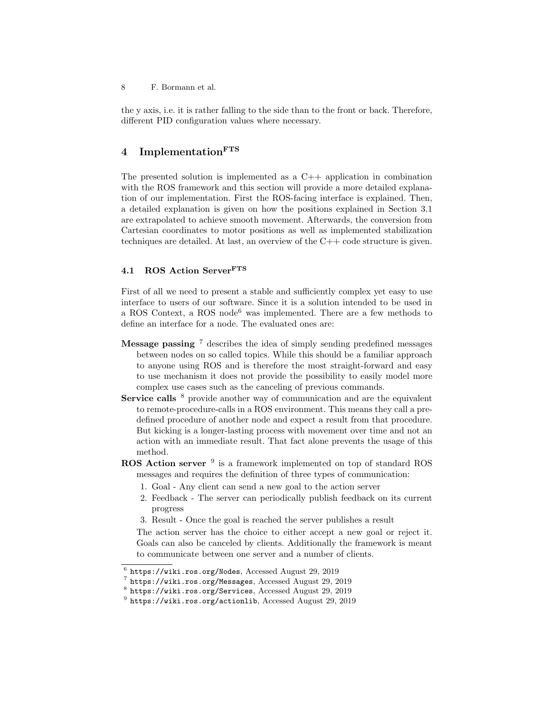the y axis, i.e. it is rather falling to the side than to the front or back. Therefore, different PID configuration values where necessary.

## <span id="page-7-0"></span>4 Implementation<sup>FTS</sup>

The presented solution is implemented as a  $C++$  application in combination with the ROS framework and this section will provide a more detailed explanation of our implementation. First the ROS-facing interface is explained. Then, a detailed explanation is given on how the positions explained in Section [3.1](#page-2-1) are extrapolated to achieve smooth movement. Afterwards, the conversion from Cartesian coordinates to motor positions as well as implemented stabilization techniques are detailed. At last, an overview of the C++ code structure is given.

### 4.1 ROS Action ServerFTS

First of all we need to present a stable and sufficiently complex yet easy to use interface to users of our software. Since it is a solution intended to be used in a ROS Context, a ROS node<sup>[6](#page-7-1)</sup> was implemented. There are a few methods to define an interface for a node. The evaluated ones are:

- **Message passing**  $\frac{7}{7}$  $\frac{7}{7}$  $\frac{7}{7}$  describes the idea of simply sending predefined messages between nodes on so called topics. While this should be a familiar approach to anyone using ROS and is therefore the most straight-forward and easy to use mechanism it does not provide the possibility to easily model more complex use cases such as the canceling of previous commands.
- Service calls  $8$  provide another way of communication and are the equivalent to remote-procedure-calls in a ROS environment. This means they call a predefined procedure of another node and expect a result from that procedure. But kicking is a longer-lasting process with movement over time and not an action with an immediate result. That fact alone prevents the usage of this method.
- ROS Action server <sup>[9](#page-7-4)</sup> is a framework implemented on top of standard ROS messages and requires the definition of three types of communication:
	- 1. Goal Any client can send a new goal to the action server
	- 2. Feedback The server can periodically publish feedback on its current progress
	- 3. Result Once the goal is reached the server publishes a result

The action server has the choice to either accept a new goal or reject it. Goals can also be canceled by clients. Additionally the framework is meant to communicate between one server and a number of clients.

<span id="page-7-1"></span> $^6$  <https://wiki.ros.org/Nodes>, Accessed August 29, 2019

<span id="page-7-2"></span> $^7$  <https://wiki.ros.org/Messages>, Accessed August 29, 2019

<span id="page-7-3"></span><sup>8</sup> <https://wiki.ros.org/Services>, Accessed August 29, 2019

<span id="page-7-4"></span> $^9$  <https://wiki.ros.org/actionlib>, Accessed August 29, 2019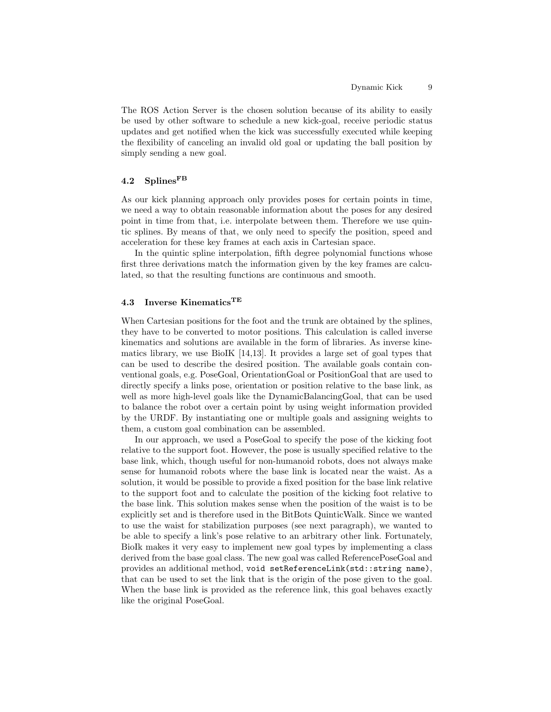The ROS Action Server is the chosen solution because of its ability to easily be used by other software to schedule a new kick-goal, receive periodic status updates and get notified when the kick was successfully executed while keeping the flexibility of canceling an invalid old goal or updating the ball position by simply sending a new goal.

### 4.2 Splines<sup>FB</sup>

As our kick planning approach only provides poses for certain points in time, we need a way to obtain reasonable information about the poses for any desired point in time from that, i.e. interpolate between them. Therefore we use quintic splines. By means of that, we only need to specify the position, speed and acceleration for these key frames at each axis in Cartesian space.

In the quintic spline interpolation, fifth degree polynomial functions whose first three derivations match the information given by the key frames are calculated, so that the resulting functions are continuous and smooth.

### 4.3 Inverse Kinematics<sup>TE</sup>

When Cartesian positions for the foot and the trunk are obtained by the splines, they have to be converted to motor positions. This calculation is called inverse kinematics and solutions are available in the form of libraries. As inverse kinematics library, we use BioIK [\[14,](#page-11-10)[13\]](#page-11-11). It provides a large set of goal types that can be used to describe the desired position. The available goals contain conventional goals, e.g. PoseGoal, OrientationGoal or PositionGoal that are used to directly specify a links pose, orientation or position relative to the base link, as well as more high-level goals like the DynamicBalancingGoal, that can be used to balance the robot over a certain point by using weight information provided by the URDF. By instantiating one or multiple goals and assigning weights to them, a custom goal combination can be assembled.

In our approach, we used a PoseGoal to specify the pose of the kicking foot relative to the support foot. However, the pose is usually specified relative to the base link, which, though useful for non-humanoid robots, does not always make sense for humanoid robots where the base link is located near the waist. As a solution, it would be possible to provide a fixed position for the base link relative to the support foot and to calculate the position of the kicking foot relative to the base link. This solution makes sense when the position of the waist is to be explicitly set and is therefore used in the BitBots QuinticWalk. Since we wanted to use the waist for stabilization purposes (see next paragraph), we wanted to be able to specify a link's pose relative to an arbitrary other link. Fortunately, BioIk makes it very easy to implement new goal types by implementing a class derived from the base goal class. The new goal was called ReferencePoseGoal and provides an additional method, void setReferenceLink(std::string name), that can be used to set the link that is the origin of the pose given to the goal. When the base link is provided as the reference link, this goal behaves exactly like the original PoseGoal.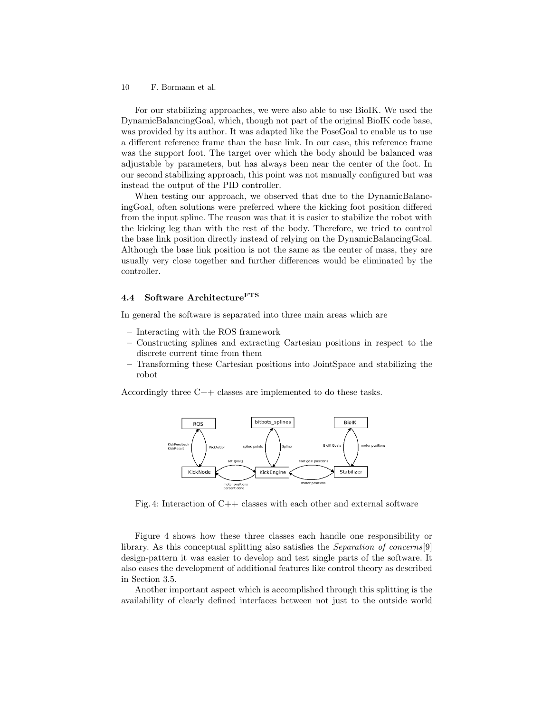For our stabilizing approaches, we were also able to use BioIK. We used the DynamicBalancingGoal, which, though not part of the original BioIK code base, was provided by its author. It was adapted like the PoseGoal to enable us to use a different reference frame than the base link. In our case, this reference frame was the support foot. The target over which the body should be balanced was adjustable by parameters, but has always been near the center of the foot. In our second stabilizing approach, this point was not manually configured but was instead the output of the PID controller.

When testing our approach, we observed that due to the DynamicBalancingGoal, often solutions were preferred where the kicking foot position differed from the input spline. The reason was that it is easier to stabilize the robot with the kicking leg than with the rest of the body. Therefore, we tried to control the base link position directly instead of relying on the DynamicBalancingGoal. Although the base link position is not the same as the center of mass, they are usually very close together and further differences would be eliminated by the controller.

#### 4.4 Software Architecture<sup>FTS</sup>

In general the software is separated into three main areas which are

- Interacting with the ROS framework
- Constructing splines and extracting Cartesian positions in respect to the discrete current time from them
- Transforming these Cartesian positions into JointSpace and stabilizing the robot

<span id="page-9-0"></span>Accordingly three C++ classes are implemented to do these tasks.



Fig. 4: Interaction of C++ classes with each other and external software

Figure [4](#page-9-0) shows how these three classes each handle one responsibility or library. As this conceptual splitting also satisfies the *Separation of concerns*[\[9\]](#page-11-12) design-pattern it was easier to develop and test single parts of the software. It also eases the development of additional features like control theory as described in Section [3.5.](#page-6-2)

Another important aspect which is accomplished through this splitting is the availability of clearly defined interfaces between not just to the outside world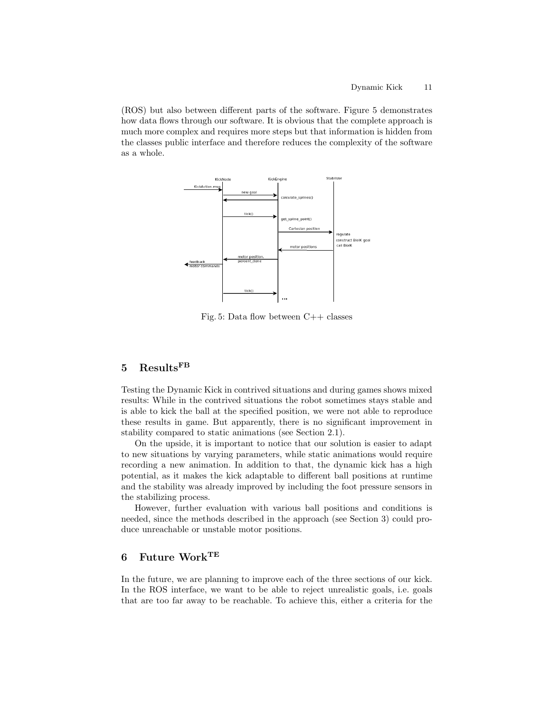(ROS) but also between different parts of the software. Figure [5](#page-10-2) demonstrates how data flows through our software. It is obvious that the complete approach is much more complex and requires more steps but that information is hidden from the classes public interface and therefore reduces the complexity of the software as a whole.

<span id="page-10-2"></span>

Fig. 5: Data flow between C++ classes

## <span id="page-10-0"></span>5 ResultsFB

Testing the Dynamic Kick in contrived situations and during games shows mixed results: While in the contrived situations the robot sometimes stays stable and is able to kick the ball at the specified position, we were not able to reproduce these results in game. But apparently, there is no significant improvement in stability compared to static animations (see Section [2.1\)](#page-1-1).

On the upside, it is important to notice that our solution is easier to adapt to new situations by varying parameters, while static animations would require recording a new animation. In addition to that, the dynamic kick has a high potential, as it makes the kick adaptable to different ball positions at runtime and the stability was already improved by including the foot pressure sensors in the stabilizing process.

However, further evaluation with various ball positions and conditions is needed, since the methods described in the approach (see Section [3\)](#page-2-0) could produce unreachable or unstable motor positions.

## <span id="page-10-1"></span>6 Future WorkTE

In the future, we are planning to improve each of the three sections of our kick. In the ROS interface, we want to be able to reject unrealistic goals, i.e. goals that are too far away to be reachable. To achieve this, either a criteria for the